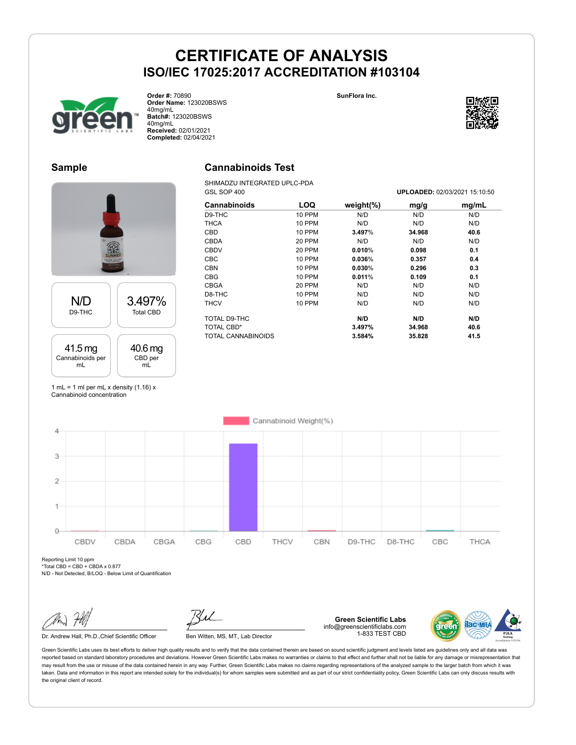**Cannabinoids Test**

**SunFlora Inc.**



**Order #:** 70890 **Order Name:** 123020BSWS 40mg/mL **Batch#:** 123020BSWS 40mg/mL **Received:** 02/01/2021 **Completed:** 02/04/2021



### **Sample**





1 mL = 1 ml per mL x density  $(1.16)$  x Cannabinoid concentration



Reporting Limit 10 ppm  $*$ Total CBD = CBD + CBDA x 0.877

N/D - Not Detected, B/LOQ - Below Limit of Quantification

Dr. Andrew Hall, Ph.D., Chief Scientific Officer Ben Witten, MS, MT., Lab Director

**Green Scientific Labs** info@greenscientificlabs.com 1-833 TEST CBD

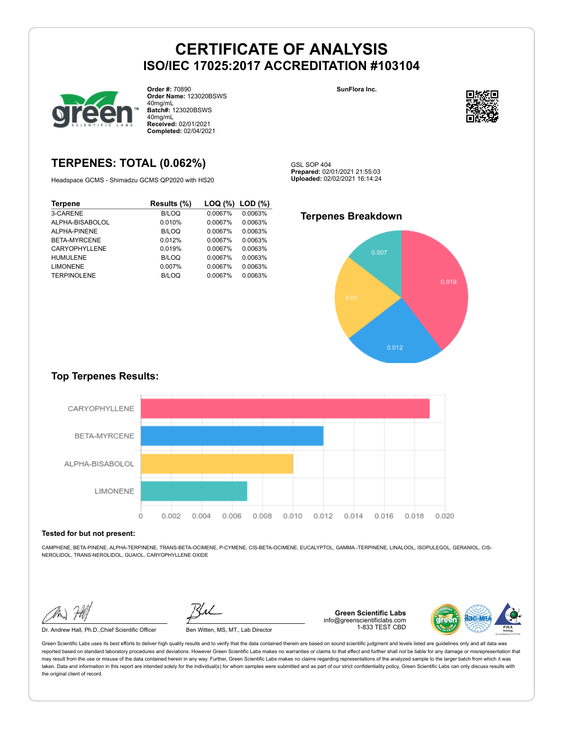

**Order #:** 70890 **Order Name:** 123020BSWS 40mg/mL **Batch#:** 123020BSWS 40mg/mL **Received:** 02/01/2021 **Completed:** 02/04/2021

### **TERPENES: TOTAL (0.062%)**

Headspace GCMS - Shimadzu GCMS QP2020 with HS20

| <b>Terpene</b>       | Results (%)  | $\textsf{LOQ}$ (%) $\textsf{LOD}$ (%) |         |
|----------------------|--------------|---------------------------------------|---------|
| 3-CARENE             | <b>B/LOQ</b> | 0.0067%                               | 0.0063% |
| ALPHA-BISABOLOL      | 0.010%       | 0.0067%                               | 0.0063% |
| ALPHA-PINENE         | B/LOQ        | 0.0067%                               | 0.0063% |
| BETA-MYRCENE         | 0.012%       | 0.0067%                               | 0.0063% |
| <b>CARYOPHYLLENE</b> | 0.019%       | 0.0067%                               | 0.0063% |
| <b>HUMULENE</b>      | B/LOQ        | 0.0067%                               | 0.0063% |
| <b>LIMONENE</b>      | $0.007\%$    | 0.0067%                               | 0.0063% |
| <b>TERPINOLENE</b>   | B/LOQ        | 0.0067%                               | 0.0063% |

**SunFlora Inc.**



GSL SOP 404 **Prepared:** 02/01/2021 21:55:03 **Uploaded:** 02/02/2021 16:14:24

### **Terpenes Breakdown**



### **Top Terpenes Results:**



#### **Tested for but not present:**

CAMPHENE, BETA-PINENE, ALPHA-TERPINENE, TRANS-BETA-OCIMENE, P-CYMENE, CIS-BETA-OCIMENE, EUCALYPTOL, GAMMA.-TERPINENE, LINALOOL, ISOPULEGOL, GERANIOL, CIS-NEROLIDOL, TRANS-NEROLIDOL, GUAIOL, CARYOPHYLLENE OXIDE

Dr. Andrew Hall, Ph.D.,Chief Scientific Officer Ben Witten, MS, MT., Lab Director

**Green Scientific Labs** info@greenscientificlabs.com 1-833 TEST CBD

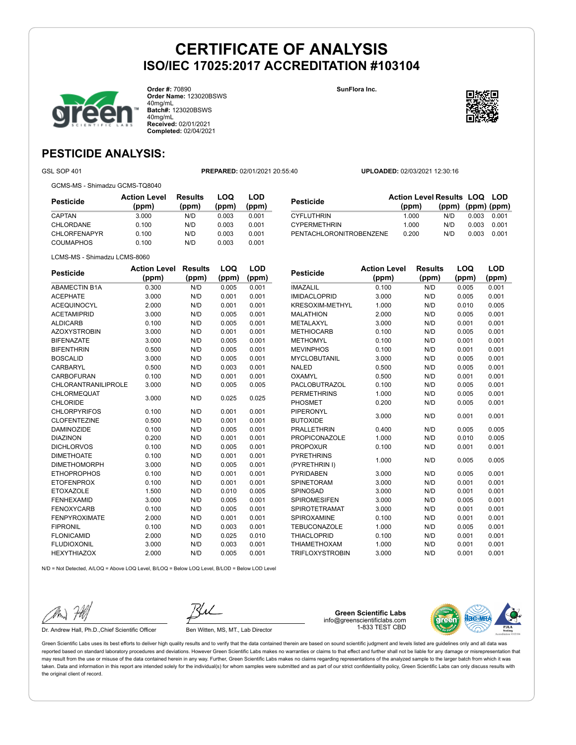![](_page_2_Picture_1.jpeg)

**Order #:** 70890 **Order Name:** 123020BSWS 40mg/mL **Batch#:** 123020BSWS 40mg/mL **Received:** 02/01/2021 **Completed:** 02/04/2021

**SunFlora Inc.**

![](_page_2_Picture_4.jpeg)

**LOQ**

**LOD**

### **PESTICIDE ANALYSIS:**

GSL SOP 401 **PREPARED:** 02/01/2021 20:55:40 **UPLOADED:** 02/03/2021 12:30:16

GCMS-MS - Shimadzu GCMS-TQ8040

| Pesticide           | <b>Action Level</b><br>(ppm) | <b>Results</b><br>(ppm) | LOQ<br>(ppm) | LOD<br>(ppm) |
|---------------------|------------------------------|-------------------------|--------------|--------------|
| CAPTAN              | 3.000                        | N/D                     | 0.003        | 0.001        |
| CHLORDANE           | 0.100                        | N/D                     | 0.003        | 0.001        |
| <b>CHLORFENAPYR</b> | 0.100                        | N/D                     | 0.003        | 0.001        |
| <b>COUMAPHOS</b>    | 0.100                        | N/D                     | 0.003        | 0.001        |

|                                | <b>Action Level Results LOQ LOD</b> |                         |       |       |
|--------------------------------|-------------------------------------|-------------------------|-------|-------|
| Pesticide                      | (ppm)                               | $(ppm)$ $(ppm)$ $(ppm)$ |       |       |
| <b>CYFLUTHRIN</b>              | 1.000                               | N/D                     | 0.003 | 0.001 |
| <b>CYPERMETHRIN</b>            | 1.000                               | N/D                     | 0.003 | 0.001 |
| <b>PENTACHLORONITROBENZENE</b> | 0.200                               | N/D                     | 0.003 | 0.001 |

LCMS-MS - Shimadzu LCMS-8060

| <b>Pesticide</b>           | <b>Action Level</b> | <b>Results</b> | LOQ   | <b>LOD</b> |
|----------------------------|---------------------|----------------|-------|------------|
|                            | (ppm)               | (ppm)          | (ppm) | (ppm)      |
| <b>ABAMECTIN B1A</b>       | 0.300               | N/D            | 0.005 | 0.001      |
| <b>ACEPHATE</b>            | 3.000               | N/D            | 0.001 | 0.001      |
| <b>ACEQUINOCYL</b>         | 2.000               | N/D            | 0.001 | 0.001      |
| <b>ACETAMIPRID</b>         | 3.000               | N/D            | 0.005 | 0.001      |
| <b>ALDICARB</b>            | 0.100               | N/D            | 0.005 | 0.001      |
| <b>AZOXYSTROBIN</b>        | 3.000               | N/D            | 0.001 | 0.001      |
| <b>BIFENAZATE</b>          | 3.000               | N/D            | 0.005 | 0.001      |
| <b>BIFENTHRIN</b>          | 0.500               | N/D            | 0.005 | 0.001      |
| <b>BOSCALID</b>            | 3.000               | N/D            | 0.005 | 0.001      |
| <b>CARBARYL</b>            | 0.500               | N/D            | 0.003 | 0.001      |
| <b>CARBOFURAN</b>          | 0.100               | N/D            | 0.001 | 0.001      |
| <b>CHLORANTRANILIPROLE</b> | 3.000               | N/D            | 0.005 | 0.005      |
| CHLORMEQUAT                | 3.000               | N/D            | 0.025 | 0.025      |
| <b>CHLORIDE</b>            |                     |                |       |            |
| <b>CHLORPYRIFOS</b>        | 0.100               | N/D            | 0.001 | 0.001      |
| <b>CLOFENTEZINE</b>        | 0.500               | N/D            | 0.001 | 0.001      |
| <b>DAMINOZIDE</b>          | 0.100               | N/D            | 0.005 | 0.001      |
| <b>DIAZINON</b>            | 0.200               | N/D            | 0.001 | 0.001      |
| <b>DICHLORVOS</b>          | 0.100               | N/D            | 0.005 | 0.001      |
| <b>DIMETHOATE</b>          | 0.100               | N/D            | 0.001 | 0.001      |
| <b>DIMETHOMORPH</b>        | 3.000               | N/D            | 0.005 | 0.001      |
| <b>ETHOPROPHOS</b>         | 0.100               | N/D            | 0.001 | 0.001      |
| <b>ETOFENPROX</b>          | 0.100               | N/D            | 0.001 | 0.001      |
| <b>ETOXAZOLE</b>           | 1.500               | N/D            | 0.010 | 0.005      |
| <b>FENHEXAMID</b>          | 3.000               | N/D            | 0.005 | 0.001      |
| <b>FENOXYCARB</b>          | 0.100               | N/D            | 0.005 | 0.001      |
| <b>FENPYROXIMATE</b>       | 2.000               | N/D            | 0.001 | 0.001      |
| <b>FIPRONIL</b>            | 0.100               | N/D            | 0.003 | 0.001      |
| <b>FLONICAMID</b>          | 2.000               | N/D            | 0.025 | 0.010      |
| <b>FLUDIOXONIL</b>         | 3.000               | N/D            | 0.003 | 0.001      |
| <b>HEXYTHIAZOX</b>         | 2.000               | N/D            | 0.005 | 0.001      |
|                            |                     |                |       |            |

| <b>Pesticide</b>       | <b>Action Level</b> | <b>Results</b> | LOQ   | <b>LOD</b> |
|------------------------|---------------------|----------------|-------|------------|
|                        | (ppm)               | (ppm)          | (ppm) | (ppm)      |
| <b>IMAZALIL</b>        | 0.100               | N/D            | 0.005 | 0.001      |
| <b>IMIDACLOPRID</b>    | 3.000               | N/D            | 0.005 | 0.001      |
| <b>KRESOXIM-METHYL</b> | 1.000               | N/D            | 0.010 | 0.005      |
| <b>MALATHION</b>       | 2.000               | N/D            | 0.005 | 0.001      |
| <b>METALAXYL</b>       | 3.000               | N/D            | 0.001 | 0.001      |
| <b>METHIOCARB</b>      | 0.100               | N/D            | 0.005 | 0.001      |
| <b>METHOMYL</b>        | 0.100               | N/D            | 0.001 | 0.001      |
| <b>MEVINPHOS</b>       | 0.100               | N/D            | 0.001 | 0.001      |
| <b>MYCLOBUTANIL</b>    | 3.000               | N/D            | 0.005 | 0.001      |
| <b>NALED</b>           | 0.500               | N/D            | 0.005 | 0.001      |
| OXAMYL                 | 0.500               | N/D            | 0.001 | 0.001      |
| PACLOBUTRAZOL          | 0.100               | N/D            | 0.005 | 0.001      |
| <b>PERMETHRINS</b>     | 1.000               | N/D            | 0.005 | 0.001      |
| <b>PHOSMET</b>         | 0.200               | N/D            | 0.005 | 0.001      |
| PIPERONYL              | 3.000               | N/D            | 0.001 | 0.001      |
| <b>BUTOXIDE</b>        |                     |                |       |            |
| <b>PRALLETHRIN</b>     | 0.400               | N/D            | 0.005 | 0.005      |
| <b>PROPICONAZOLE</b>   | 1.000               | N/D            | 0.010 | 0.005      |
| <b>PROPOXUR</b>        | 0.100               | N/D            | 0.001 | 0.001      |
| <b>PYRETHRINS</b>      | 1.000               | N/D            | 0.005 | 0.005      |
| (PYRETHRIN I)          |                     |                |       |            |
| <b>PYRIDABEN</b>       | 3.000               | N/D            | 0.005 | 0.001      |
| <b>SPINETORAM</b>      | 3.000               | N/D            | 0.001 | 0.001      |
| SPINOSAD               | 3.000               | N/D            | 0.001 | 0.001      |
| <b>SPIROMESIFEN</b>    | 3.000               | N/D            | 0.005 | 0.001      |
| <b>SPIROTETRAMAT</b>   | 3.000               | N/D            | 0.001 | 0.001      |
| SPIROXAMINE            | 0.100               | N/D            | 0.001 | 0.001      |
| <b>TEBUCONAZOLE</b>    | 1.000               | N/D            | 0.005 | 0.001      |
| <b>THIACLOPRID</b>     | 0.100               | N/D            | 0.001 | 0.001      |
| <b>THIAMETHOXAM</b>    | 1.000               | N/D            | 0.001 | 0.001      |
| <b>TRIFLOXYSTROBIN</b> | 3.000               | N/D            | 0.001 | 0.001      |

N/D = Not Detected, A/LOQ = Above LOQ Level, B/LOQ = Below LOQ Level, B/LOD = Below LOD Level

Dr. Andrew Hall, Ph.D., Chief Scientific Officer Ben Witten, MS, MT., Lab Director

info@greenscientificlabs.com 1-833 TEST CBD

**Green Scientific Labs**

![](_page_2_Picture_18.jpeg)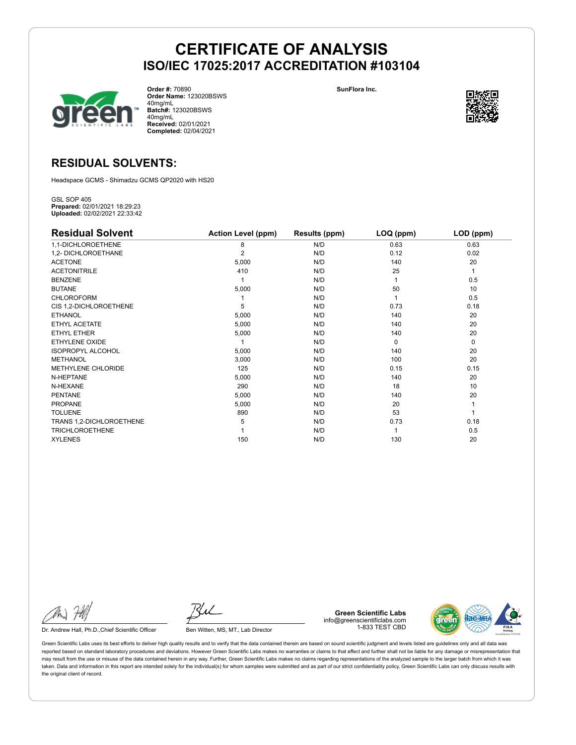![](_page_3_Picture_1.jpeg)

**Order #:** 70890 **Order Name:** 123020BSWS 40mg/mL **Batch#:** 123020BSWS 40mg/mL **Received:** 02/01/2021 **Completed:** 02/04/2021

**SunFlora Inc.**

![](_page_3_Picture_4.jpeg)

### **RESIDUAL SOLVENTS:**

Headspace GCMS - Shimadzu GCMS QP2020 with HS20

GSL SOP 405 **Prepared:** 02/01/2021 18:29:23 **Uploaded:** 02/02/2021 22:33:42

| <b>Residual Solvent</b>   | <b>Action Level (ppm)</b> | <b>Results (ppm)</b> | LOQ (ppm) | LOD (ppm)   |
|---------------------------|---------------------------|----------------------|-----------|-------------|
| 1,1-DICHLOROETHENE        | 8                         | N/D                  | 0.63      | 0.63        |
| 1,2- DICHLOROETHANE       | $\overline{2}$            | N/D                  | 0.12      | 0.02        |
| <b>ACETONE</b>            | 5,000                     | N/D                  | 140       | 20          |
| <b>ACETONITRILE</b>       | 410                       | N/D                  | 25        | 1           |
| <b>BENZENE</b>            |                           | N/D                  |           | 0.5         |
| <b>BUTANE</b>             | 5,000                     | N/D                  | 50        | 10          |
| <b>CHLOROFORM</b>         |                           | N/D                  |           | 0.5         |
| CIS 1,2-DICHLOROETHENE    | 5                         | N/D                  | 0.73      | 0.18        |
| <b>ETHANOL</b>            | 5,000                     | N/D                  | 140       | 20          |
| ETHYL ACETATE             | 5,000                     | N/D                  | 140       | 20          |
| ETHYL ETHER               | 5,000                     | N/D                  | 140       | 20          |
| ETHYLENE OXIDE            |                           | N/D                  | $\Omega$  | $\mathbf 0$ |
| <b>ISOPROPYL ALCOHOL</b>  | 5,000                     | N/D                  | 140       | 20          |
| <b>METHANOL</b>           | 3,000                     | N/D                  | 100       | 20          |
| <b>METHYLENE CHLORIDE</b> | 125                       | N/D                  | 0.15      | 0.15        |
| N-HEPTANE                 | 5,000                     | N/D                  | 140       | 20          |
| N-HEXANE                  | 290                       | N/D                  | 18        | 10          |
| <b>PENTANE</b>            | 5,000                     | N/D                  | 140       | 20          |
| <b>PROPANE</b>            | 5,000                     | N/D                  | 20        |             |
| <b>TOLUENE</b>            | 890                       | N/D                  | 53        |             |
| TRANS 1,2-DICHLOROETHENE  | 5                         | N/D                  | 0.73      | 0.18        |
| <b>TRICHLOROETHENE</b>    |                           | N/D                  |           | 0.5         |
| <b>XYLENES</b>            | 150                       | N/D                  | 130       | 20          |

Dr. Andrew Hall, Ph.D., Chief Scientific Officer Ben Witten, MS, MT., Lab Director

**Green Scientific Labs** info@greenscientificlabs.com 1-833 TEST CBD

![](_page_3_Picture_14.jpeg)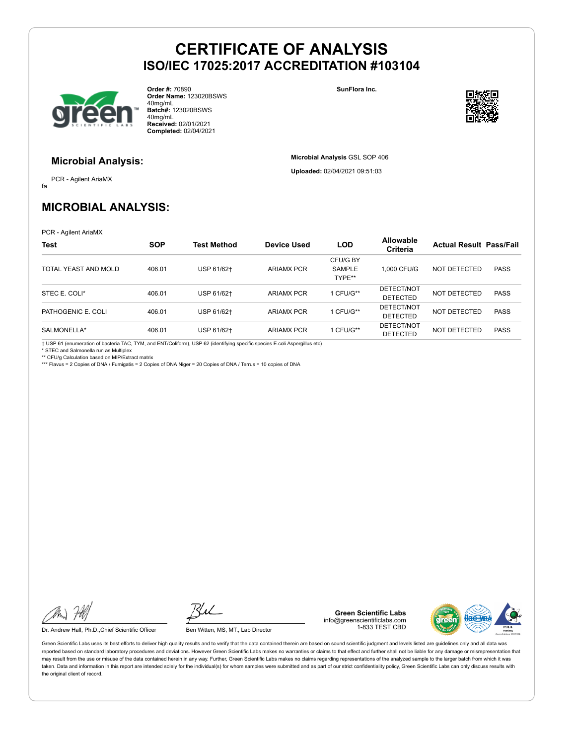![](_page_4_Picture_1.jpeg)

**Order #:** 70890 **Order Name:** 123020BSWS 40mg/mL **Batch#:** 123020BSWS 40mg/mL **Received:** 02/01/2021 **Completed:** 02/04/2021

**SunFlora Inc.**

**Microbial Analysis** GSL SOP 406 **Uploaded:** 02/04/2021 09:51:03

![](_page_4_Picture_4.jpeg)

### **Microbial Analysis:**

fa PCR - Agilent AriaMX

### **MICROBIAL ANALYSIS:**

PCR - Agilent AriaMX

| <b>Test</b>          | <b>SOP</b> | <b>Test Method</b> | <b>Device Used</b> | <b>LOD</b>                          | <b>Allowable</b><br>Criteria  | <b>Actual Result Pass/Fail</b> |             |
|----------------------|------------|--------------------|--------------------|-------------------------------------|-------------------------------|--------------------------------|-------------|
| TOTAL YEAST AND MOLD | 406.01     | USP 61/62+         | <b>ARIAMX PCR</b>  | CFU/G BY<br><b>SAMPLE</b><br>TYPE** | 1.000 CFU/G                   | NOT DETECTED                   | <b>PASS</b> |
| STEC E. COLI*        | 406.01     | USP 61/62+         | <b>ARIAMX PCR</b>  | 1 CFU/G**                           | DETECT/NOT<br><b>DETECTED</b> | NOT DETECTED                   | <b>PASS</b> |
| PATHOGENIC E. COLI   | 406.01     | USP 61/62+         | <b>ARIAMX PCR</b>  | 1 CFU/G**                           | DETECT/NOT<br><b>DETECTED</b> | NOT DETECTED                   | <b>PASS</b> |
| SALMONELLA*          | 406.01     | USP 61/62+         | <b>ARIAMX PCR</b>  | 1 CFU/G**                           | DETECT/NOT<br><b>DETECTED</b> | NOT DETECTED                   | <b>PASS</b> |

† USP 61 (enumeration of bacteria TAC, TYM, and ENT/Coliform), USP 62 (identifying specific species E.coli Aspergillus etc) \* STEC and Salmonella run as Multiplex

\*\* CFU/g Calculation based on MIP/Extract matrix \*\*\* Flavus = 2 Copies of DNA / Fumigatis = 2 Copies of DNA Niger = 20 Copies of DNA / Terrus = 10 copies of DNA

Dr. Andrew Hall, Ph.D., Chief Scientific Officer Ben Witten, MS, MT., Lab Director

**Green Scientific Labs** info@greenscientificlabs.com 1-833 TEST CBD

![](_page_4_Picture_19.jpeg)